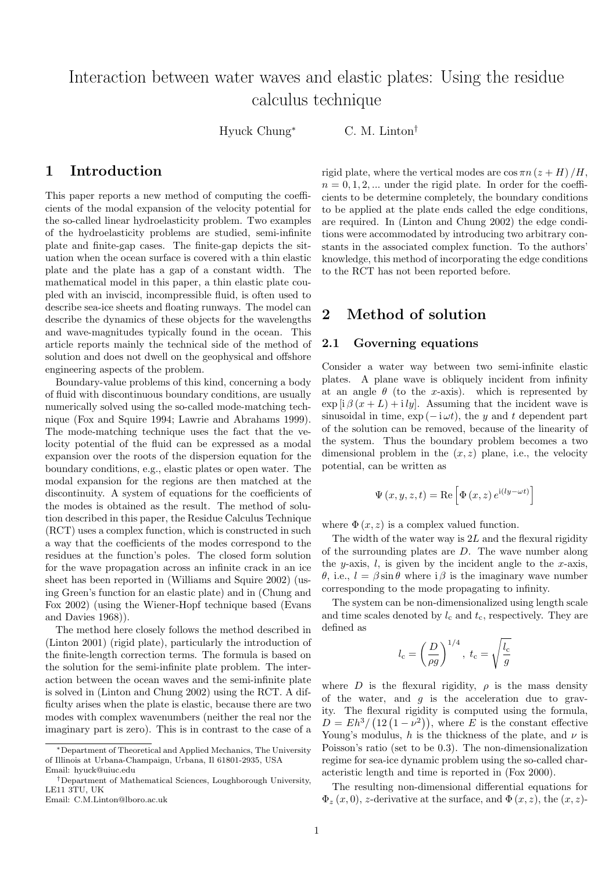# Interaction between water waves and elastic plates: Using the residue calculus technique

Hyuck Chung<sup>∗</sup> C. M. Linton†

## 1 Introduction

This paper reports a new method of computing the coefficients of the modal expansion of the velocity potential for the so-called linear hydroelasticity problem. Two examples of the hydroelasticity problems are studied, semi-infinite plate and finite-gap cases. The finite-gap depicts the situation when the ocean surface is covered with a thin elastic plate and the plate has a gap of a constant width. The mathematical model in this paper, a thin elastic plate coupled with an inviscid, incompressible fluid, is often used to describe sea-ice sheets and floating runways. The model can describe the dynamics of these objects for the wavelengths and wave-magnitudes typically found in the ocean. This article reports mainly the technical side of the method of solution and does not dwell on the geophysical and offshore engineering aspects of the problem.

Boundary-value problems of this kind, concerning a body of fluid with discontinuous boundary conditions, are usually numerically solved using the so-called mode-matching technique (Fox and Squire 1994; Lawrie and Abrahams 1999). The mode-matching technique uses the fact that the velocity potential of the fluid can be expressed as a modal expansion over the roots of the dispersion equation for the boundary conditions, e.g., elastic plates or open water. The modal expansion for the regions are then matched at the discontinuity. A system of equations for the coefficients of the modes is obtained as the result. The method of solution described in this paper, the Residue Calculus Technique (RCT) uses a complex function, which is constructed in such a way that the coefficients of the modes correspond to the residues at the function's poles. The closed form solution for the wave propagation across an infinite crack in an ice sheet has been reported in (Williams and Squire 2002) (using Green's function for an elastic plate) and in (Chung and Fox 2002) (using the Wiener-Hopf technique based (Evans and Davies 1968)).

The method here closely follows the method described in (Linton 2001) (rigid plate), particularly the introduction of the finite-length correction terms. The formula is based on the solution for the semi-infinite plate problem. The interaction between the ocean waves and the semi-infinite plate is solved in (Linton and Chung 2002) using the RCT. A difficulty arises when the plate is elastic, because there are two modes with complex wavenumbers (neither the real nor the imaginary part is zero). This is in contrast to the case of a rigid plate, where the vertical modes are  $\cos \pi n (z + H)/H$ ,  $n = 0, 1, 2, \dots$  under the rigid plate. In order for the coefficients to be determine completely, the boundary conditions to be applied at the plate ends called the edge conditions, are required. In (Linton and Chung 2002) the edge conditions were accommodated by introducing two arbitrary constants in the associated complex function. To the authors' knowledge, this method of incorporating the edge conditions to the RCT has not been reported before.

### 2 Method of solution

#### 2.1 Governing equations

Consider a water way between two semi-infinite elastic plates. A plane wave is obliquely incident from infinity at an angle  $\theta$  (to the x-axis). which is represented by  $\exp[i\beta(x+L)+i\,ly]$ . Assuming that the incident wave is sinusoidal in time,  $\exp(-i\omega t)$ , the y and t dependent part of the solution can be removed, because of the linearity of the system. Thus the boundary problem becomes a two dimensional problem in the  $(x, z)$  plane, i.e., the velocity potential, can be written as

$$
\Psi\left(x,y,z,t\right)=\text{Re}\left[\Phi\left(x,z\right)e^{\text{i}\left(\text{i} y-\omega t\right)}\right]
$$

where  $\Phi(x, z)$  is a complex valued function.

The width of the water way is  $2L$  and the flexural rigidity of the surrounding plates are  $D$ . The wave number along the *y*-axis, *l*, is given by the incident angle to the *x*-axis, θ, i.e.,  $l = \beta \sin \theta$  where i β is the imaginary wave number corresponding to the mode propagating to infinity.

The system can be non-dimensionalized using length scale and time scales denoted by  $l_c$  and  $t_c$ , respectively. They are defined as

$$
l_{\rm c} = \left(\frac{D}{\rho g}\right)^{1/4}, \ t_{\rm c} = \sqrt{\frac{l_{\rm c}}{g}}
$$

where D is the flexural rigidity,  $\rho$  is the mass density of the water, and  $g$  is the acceleration due to gravity. The flexural rigidity is computed using the formula,  $D = Eh^3/(12(1-\nu^2)),$  where E is the constant effective Young's modulus, h is the thickness of the plate, and  $\nu$  is Poisson's ratio (set to be 0.3). The non-dimensionalization regime for sea-ice dynamic problem using the so-called characteristic length and time is reported in (Fox 2000).

The resulting non-dimensional differential equations for  $\Phi_z(x,0)$ , z-derivative at the surface, and  $\Phi(x, z)$ , the  $(x, z)$ -

<sup>∗</sup>Department of Theoretical and Applied Mechanics, The University of Illinois at Urbana-Champaign, Urbana, Il 61801-2935, USA Email: hyuck@uiuc.edu

<sup>†</sup>Department of Mathematical Sciences, Loughborough University, LE11 3TU, UK

Email: C.M.Linton@lboro.ac.uk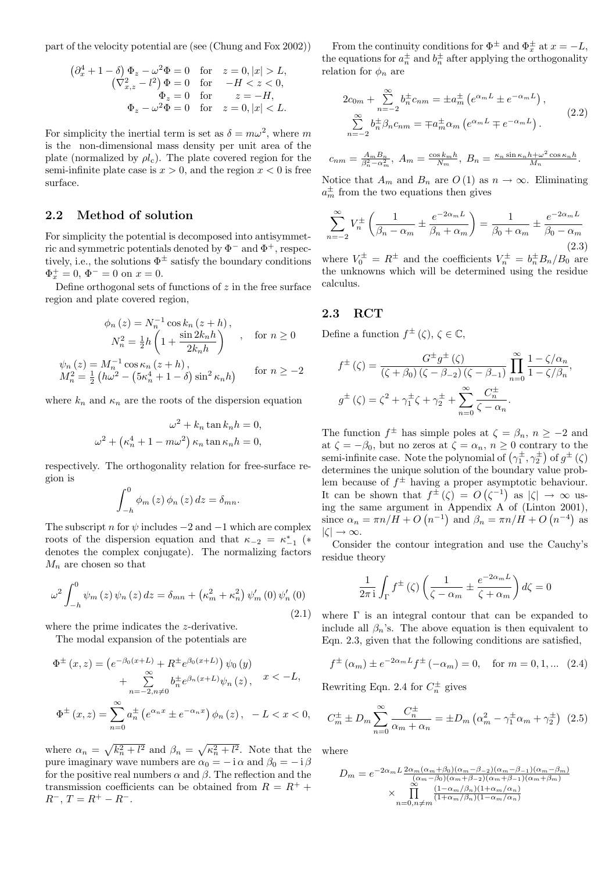part of the velocity potential are (see (Chung and Fox 2002))

$$
\begin{aligned} \left(\partial_x^4+1-\delta\right)\Phi_z-\omega^2\Phi&=0\quad\text{for}\quad z=0,\left|x\right|>L,\\ \left(\nabla_{x,z}^2-l^2\right)\Phi&=0\quad\text{for}\quad -H< z<0,\\ \Phi_z&=0\quad\text{for}\quad z=-H,\\ \Phi_z-\omega^2\Phi&=0\quad\text{for}\quad z=0,\left|x\right|< L. \end{aligned}
$$

For simplicity the inertial term is set as  $\delta = m\omega^2$ , where m is the non-dimensional mass density per unit area of the plate (normalized by  $\rho l_c$ ). The plate covered region for the semi-infinite plate case is  $x > 0$ , and the region  $x < 0$  is free surface.

#### 2.2 Method of solution

For simplicity the potential is decomposed into antisymmetric and symmetric potentials denoted by  $\Phi^-$  and  $\Phi^+$ , respectively, i.e., the solutions  $\Phi^{\pm}$  satisfy the boundary conditions  $\Phi_x^+ = 0, \, \Phi^- = 0 \text{ on } x = 0.$ 

Define orthogonal sets of functions of  $z$  in the free surface region and plate covered region,

$$
\phi_n(z) = N_n^{-1} \cos k_n (z+h),
$$
  
\n
$$
N_n^2 = \frac{1}{2} h \left( 1 + \frac{\sin 2k_n h}{2k_n h} \right) , \quad \text{for } n \ge 0
$$
  
\n
$$
\psi_n(z) = M_n^{-1} \cos \kappa_n (z+h),
$$
  
\n
$$
M_n^2 = \frac{1}{2} \left( h\omega^2 - \left( 5\kappa_n^4 + 1 - \delta \right) \sin^2 \kappa_n h \right) \quad \text{for } n \ge -2
$$

where  $k_n$  and  $\kappa_n$  are the roots of the dispersion equation

$$
\omega^2 + k_n \tan k_n h = 0,
$$
  

$$
\omega^2 + \left(\kappa_n^4 + 1 - m\omega^2\right) \kappa_n \tan \kappa_n h = 0,
$$

respectively. The orthogonality relation for free-surface region is

$$
\int_{-h}^{0} \phi_m(z) \phi_n(z) dz = \delta_{mn}.
$$

The subscript n for  $\psi$  includes  $-2$  and  $-1$  which are complex roots of the dispersion equation and that  $\kappa_{-2} = \kappa_{-1}^*$  (\* denotes the complex conjugate). The normalizing factors  $M_n$  are chosen so that

$$
\omega^2 \int_{-h}^0 \psi_m(z) \psi_n(z) dz = \delta_{mn} + (\kappa_m^2 + \kappa_n^2) \psi_m'(0) \psi_n'(0)
$$
\n(2.1)

where the prime indicates the *z*-derivative.

The modal expansion of the potentials are

$$
\Phi^{\pm}(x, z) = (e^{-\beta_0(x+L)} + R^{\pm}e^{\beta_0(x+L)}) \psi_0(y) \n+ \sum_{n=-2, n \neq 0}^{\infty} b_n^{\pm}e^{\beta_n(x+L)} \psi_n(z), \quad x < -L,
$$
\n
$$
\Phi^{\pm}(x, z) = \sum_{n=0}^{\infty} a_n^{\pm} (e^{\alpha_n x} \pm e^{-\alpha_n x}) \phi_n(z), \quad -L < x < 0,
$$

where  $\alpha_n = \sqrt{k_n^2 + l^2}$  and  $\beta_n = \sqrt{k_n^2 + l^2}$ . Note that the pure imaginary wave numbers are  $\alpha_0 = -i \alpha$  and  $\beta_0 = -i \beta$ for the positive real numbers  $\alpha$  and  $\beta$ . The reflection and the transmission coefficients can be obtained from  $R = R^+$  +  $R^-$ ,  $T = R^+ - R^-$ .

From the continuity conditions for  $\Phi^{\pm}$  and  $\Phi^{\pm}_x$  at  $x = -L$ , the equations for  $a_n^{\pm}$  and  $b_n^{\pm}$  after applying the orthogonality relation for  $\phi_n$  are

$$
2c_{0m} + \sum_{n=-2}^{\infty} b_n^{\pm} c_{nm} = \pm a_m^{\pm} \left( e^{\alpha_m L} \pm e^{-\alpha_m L} \right),
$$
  

$$
\sum_{n=-2}^{\infty} b_n^{\pm} \beta_n c_{nm} = \mp a_m^{\pm} \alpha_m \left( e^{\alpha_m L} \mp e^{-\alpha_m L} \right).
$$
 (2.2)

$$
c_{nm} = \frac{A_m B_n}{\beta_n^2 - \alpha_m^2}, \ A_m = \frac{\cos k_m h}{N_m}, \ B_n = \frac{\kappa_n \sin \kappa_n h + \omega^2 \cos \kappa_n h}{M_n}.
$$

Notice that  $A_m$  and  $B_n$  are  $O(1)$  as  $n \to \infty$ . Eliminating  $a_m^{\pm}$  from the two equations then gives

$$
\sum_{n=-2}^{\infty} V_n^{\pm} \left( \frac{1}{\beta_n - \alpha_m} \pm \frac{e^{-2\alpha_m L}}{\beta_n + \alpha_m} \right) = \frac{1}{\beta_0 + \alpha_m} \pm \frac{e^{-2\alpha_m L}}{\beta_0 - \alpha_m}
$$
\n(2.3)

where  $V_0^{\pm} = R^{\pm}$  and the coefficients  $V_n^{\pm} = b_n^{\pm} B_n / B_0$  are the unknowns which will be determined using the residue calculus.

#### 2.3 RCT

Define a function  $f^{\pm}(\zeta), \zeta \in \mathbb{C}$ ,

$$
f^{\pm}(\zeta) = \frac{G^{\pm}g^{\pm}(\zeta)}{(\zeta + \beta_0)(\zeta - \beta_{-2})(\zeta - \beta_{-1})} \prod_{n=0}^{\infty} \frac{1 - \zeta/\alpha_n}{1 - \zeta/\beta_n},
$$

$$
g^{\pm}(\zeta) = \zeta^2 + \gamma_1^{\pm}\zeta + \gamma_2^{\pm} + \sum_{n=0}^{\infty} \frac{C_n^{\pm}}{\zeta - \alpha_n}.
$$

The function  $f^{\pm}$  has simple poles at  $\zeta = \beta_n$ ,  $n \geq -2$  and at  $\zeta = -\beta_0$ , but no zeros at  $\zeta = \alpha_n$ ,  $n \geq 0$  contrary to the semi-infinite case. Note the polynomial of  $(\gamma_1^{\pm}, \gamma_2^{\pm})$  of  $g^{\pm}(\zeta)$ determines the unique solution of the boundary value problem because of  $f^{\pm}$  having a proper asymptotic behaviour. It can be shown that  $f^{\pm}(\zeta) = O(\zeta^{-1})$  as  $|\zeta| \to \infty$  using the same argument in Appendix A of (Linton 2001), since  $\alpha_n = \pi n/H + O(n^{-1})$  and  $\beta_n = \pi n/H + O(n^{-4})$  as  $|\zeta| \to \infty$ .

Consider the contour integration and use the Cauchy's residue theory

$$
\frac{1}{2\pi i} \int_{\Gamma} f^{\pm}(\zeta) \left( \frac{1}{\zeta - \alpha_m} \pm \frac{e^{-2\alpha_m L}}{\zeta + \alpha_m} \right) d\zeta = 0
$$

(2.1) where Γ is an integral contour that can be expanded to include all  $\beta_n$ 's. The above equation is then equivalent to Eqn. 2.3, given that the following conditions are satisfied,

$$
f^{\pm}(\alpha_m) \pm e^{-2\alpha_m L} f^{\pm}(-\alpha_m) = 0
$$
, for  $m = 0, 1, ...$  (2.4)

Rewriting Eqn. 2.4 for  $C_n^{\pm}$  gives

$$
C_m^{\pm} \pm D_m \sum_{n=0}^{\infty} \frac{C_n^{\pm}}{\alpha_m + \alpha_n} = \pm D_m \left( \alpha_m^2 - \gamma_1^{\pm} \alpha_m + \gamma_2^{\pm} \right) (2.5)
$$

where

$$
D_m = e^{-2\alpha_m L} \frac{2\alpha_m(\alpha_m + \beta_0)(\alpha_m - \beta_{-2})(\alpha_m - \beta_{-1})(\alpha_m - \beta_m)}{(\alpha_m - \beta_0)(\alpha_m + \beta_{-2})(\alpha_m + \beta_{-1})(\alpha_m + \beta_m)}
$$

$$
\times \prod_{n=0, n \neq m} \frac{(1 - \alpha_m/\beta_n)(1 + \alpha_m/\alpha_n)}{(1 + \alpha_m/\beta_n)(1 - \alpha_m/\alpha_n)}
$$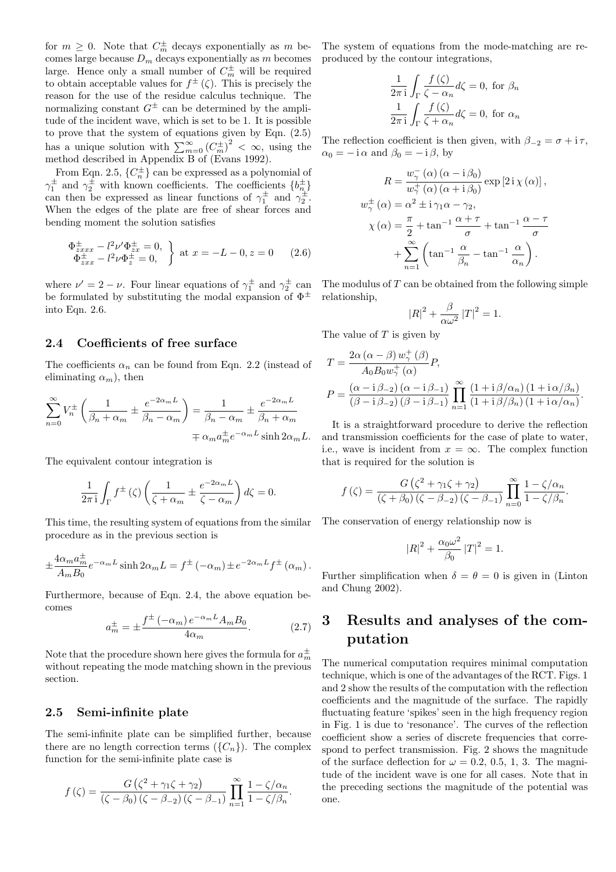for  $m \geq 0$ . Note that  $C_m^{\pm}$  decays exponentially as m becomes large because  $D_m$  decays exponentially as  $m$  becomes large. Hence only a small number of  $C_m^{\pm}$  will be required to obtain acceptable values for  $f^{\pm}(\zeta)$ . This is precisely the reason for the use of the residue calculus technique. The normalizing constant  $G^{\pm}$  can be determined by the amplitude of the incident wave, which is set to be 1. It is possible to prove that the system of equations given by Eqn. (2.5) has a unique solution with  $\sum_{m=0}^{\infty} (C_m^{\pm})^2 < \infty$ , using the method described in Appendix B of (Evans 1992).

From Eqn. 2.5,  $\{C_n^{\pm}\}\)$  can be expressed as a polynomial of  $\gamma_1^{\pm}$  and  $\gamma_2^{\pm}$  with known coefficients. The coefficients  $\{b_n^{\pm}\}$ can then be expressed as linear functions of  $\gamma_1^{\pm}$  and  $\gamma_2^{\pm}$ . When the edges of the plate are free of shear forces and bending moment the solution satisfies

$$
\Phi_{zxx}^{\pm} - l^2 \nu' \Phi_{zx}^{\pm} = 0, \Phi_{zxx}^{\pm} - l^2 \nu \Phi_{z}^{\pm} = 0, \qquad \text{at } x = -L - 0, z = 0 \qquad (2.6)
$$

where  $\nu' = 2 - \nu$ . Four linear equations of  $\gamma_1^{\pm}$  and  $\gamma_2^{\pm}$  can be formulated by substituting the modal expansion of  $\Phi^{\pm}$ into Eqn. 2.6.

#### 2.4 Coefficients of free surface

The coefficients  $\alpha_n$  can be found from Eqn. 2.2 (instead of eliminating  $\alpha_m$ ), then

$$
\sum_{n=0}^{\infty} V_n^{\pm} \left( \frac{1}{\beta_n + \alpha_m} \pm \frac{e^{-2\alpha_m L}}{\beta_n - \alpha_m} \right) = \frac{1}{\beta_n - \alpha_m} \pm \frac{e^{-2\alpha_m L}}{\beta_n + \alpha_m}
$$

$$
\pm \alpha_m a_m^{\pm} e^{-\alpha_m L} \sinh 2\alpha_m l
$$

The equivalent contour integration is

$$
\frac{1}{2\pi i} \int_{\Gamma} f^{\pm}(\zeta) \left( \frac{1}{\zeta + \alpha_m} \pm \frac{e^{-2\alpha_m L}}{\zeta - \alpha_m} \right) d\zeta = 0.
$$

This time, the resulting system of equations from the similar procedure as in the previous section is

$$
\pm \frac{4\alpha_m a_m^{\pm}}{A_m B_0} e^{-\alpha_m L} \sinh 2\alpha_m L = f^{\pm} (-\alpha_m) \pm e^{-2\alpha_m L} f^{\pm} (\alpha_m).
$$

Furthermore, because of Eqn. 2.4, the above equation becomes

$$
a_m^{\pm} = \pm \frac{f^{\pm}(-\alpha_m) e^{-\alpha_m L} A_m B_0}{4\alpha_m}.
$$
 (2.7)

Note that the procedure shown here gives the formula for  $a_m^{\pm}$ without repeating the mode matching shown in the previous section.

#### 2.5 Semi-infinite plate

The semi-infinite plate can be simplified further, because there are no length correction terms  $({C_n})$ . The complex function for the semi-infinite plate case is

$$
f(\zeta) = \frac{G(\zeta^2 + \gamma_1 \zeta + \gamma_2)}{(\zeta - \beta_0)(\zeta - \beta_{-2})(\zeta - \beta_{-1})} \prod_{n=1}^{\infty} \frac{1 - \zeta/\alpha_n}{1 - \zeta/\beta_n}.
$$

The system of equations from the mode-matching are reproduced by the contour integrations,

$$
\frac{1}{2\pi i} \int_{\Gamma} \frac{f(\zeta)}{\zeta - \alpha_n} d\zeta = 0, \text{ for } \beta_n
$$

$$
\frac{1}{2\pi i} \int_{\Gamma} \frac{f(\zeta)}{\zeta + \alpha_n} d\zeta = 0, \text{ for } \alpha_n
$$

The reflection coefficient is then given, with  $\beta_{-2} = \sigma + i \tau$ ,  $\alpha_0 = -i \alpha$  and  $\beta_0 = -i \beta$ , by

$$
R = \frac{w_{\gamma}^{-}(\alpha) (\alpha - i\beta_{0})}{w_{\gamma}^{+}(\alpha) (\alpha + i\beta_{0})} \exp [2i\chi(\alpha)],
$$
  

$$
w_{\gamma}^{\pm}(\alpha) = \alpha^{2} \pm i\gamma_{1}\alpha - \gamma_{2},
$$
  

$$
\chi(\alpha) = \frac{\pi}{2} + \tan^{-1}\frac{\alpha + \tau}{\sigma} + \tan^{-1}\frac{\alpha - \tau}{\sigma}
$$
  

$$
+ \sum_{n=1}^{\infty} \left(\tan^{-1}\frac{\alpha}{\beta_{n}} - \tan^{-1}\frac{\alpha}{\alpha_{n}}\right).
$$

The modulus of  $T$  can be obtained from the following simple relationship,

$$
|R|^2 + \frac{\beta}{\alpha \omega^2} |T|^2 = 1.
$$

The value of  $T$  is given by

$$
T = \frac{2\alpha (\alpha - \beta) w_{\gamma}^{+}(\beta)}{A_0 B_0 w_{\gamma}^{+}(\alpha)} P,
$$
  
\n
$$
P = \frac{(\alpha - i\beta_{-2}) (\alpha - i\beta_{-1})}{(\beta - i\beta_{-2}) (\beta - i\beta_{-1})} \prod_{n=1}^{\infty} \frac{(1 + i\beta/\alpha_n) (1 + i\alpha/\beta_n)}{(1 + i\beta/\beta_n) (1 + i\alpha/\alpha_n)}.
$$

 $\sinh 2\alpha_m L$ . and transmission coefficients for the case of plate to water, It is a straightforward procedure to derive the reflection i.e., wave is incident from  $x = \infty$ . The complex function that is required for the solution is

$$
f(\zeta) = \frac{G(\zeta^2 + \gamma_1 \zeta + \gamma_2)}{(\zeta + \beta_0)(\zeta - \beta_{-2})(\zeta - \beta_{-1})} \prod_{n=0}^{\infty} \frac{1 - \zeta/\alpha_n}{1 - \zeta/\beta_n}.
$$

The conservation of energy relationship now is

$$
|R|^2 + \frac{\alpha_0 \omega^2}{\beta_0} |T|^2 = 1.
$$

Further simplification when  $\delta = \theta = 0$  is given in (Linton and Chung 2002).

## 3 Results and analyses of the computation

The numerical computation requires minimal computation technique, which is one of the advantages of the RCT. Figs. 1 and 2 show the results of the computation with the reflection coefficients and the magnitude of the surface. The rapidly fluctuating feature 'spikes' seen in the high frequency region in Fig. 1 is due to 'resonance'. The curves of the reflection coefficient show a series of discrete frequencies that correspond to perfect transmission. Fig. 2 shows the magnitude of the surface deflection for  $\omega = 0.2, 0.5, 1, 3$ . The magnitude of the incident wave is one for all cases. Note that in the preceding sections the magnitude of the potential was one.